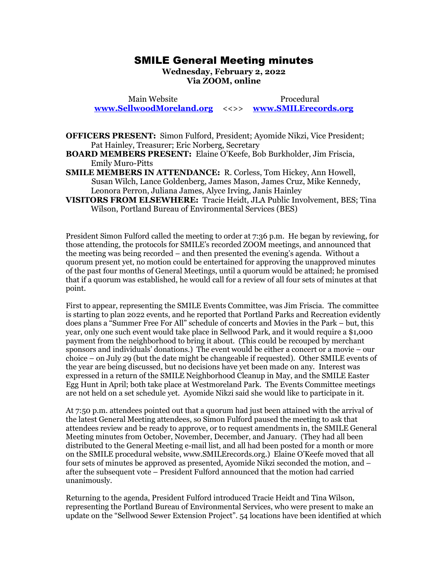## SMILE General Meeting minutes SMILE General Meeting minutes

Wednesday, February 2, 2022 **Wednesday, February 2, 2022**  Via ZOOM, online **Via ZOOM, online**

Main Website Procedural Main Website Procedural [www.SellwoodMoreland.org](http://www.sellwoodmoreland.org/) <<>> [www.SMILErecords.org](http://www.smilerecords.org/)  **www.SellwoodMoreland.org** <<>> **www.SMILErecords.org**

OFFICERS PRESENT: Simon Fulford, President; Ayomide Nikzi, Vice President; **OFFICERS PRESENT:** Simon Fulford, President; Ayomide Nikzi, Vice President; Pat Hainley, Treasurer; Eric Norberg, Secretary Pat Hainley, Treasurer; Eric Norberg, Secretary

BOARD MEMBERS PRESENT: Elaine O'Keefe, Bob Burkholder, Jim Friscia, **BOARD MEMBERS PRESENT:** Elaine O'Keefe, Bob Burkholder, Jim Friscia, Emily Muro-Pitts

SMILE MEMBERS INATTENDANCE: R. Corless, Tom Hickey, Ann Howell, Emily Muro-Pitts **SMILE MEMBERS IN ATTENDANCE:** R. Corless, Tom Hickey, Ann Howell, Susan Wilch, Lance Goldenberg, James Mason, James Cruz, Mike Kennedy, Susan Wilch, Lance Goldenberg, James Mason, James Cruz, Mike Kennedy, Leonora Perron, Juliana James, Alyce Irving, Janis Hainley Leonora Perron, Juliana James, Alyce Irving, Janis Hainley

VISITORS FROM ELSEWHERE: Tracie Heidt, JLA Public Involvement, BES; Tina **VISITORS FROM ELSEWHERE:** Tracie Heidt, JLA Public Involvement, BES; Tina Wilson, Portland Bureau of Environmental Services (BES) Wilson, Portland Bureau of Environmental Services (BES)

President Simon Fulford called the meeting to order at 7:36 p.m. He began by reviewing, for those attending, the protocols for SMILE's recorded ZOOM meetings, and announced that the meeting was being recorded — and then presented the evening's agenda. Without a quorum present yet, no motion could be entertained for approving the unapproved minutes of the past four months of General Meetings, until a quorum would be attained; he promised that if a quorum was established, he would call for a review of all four sets of minutes at that that if a quorum was established, he would call for a review of all four sets of minutes at that point. point. President Simon Fulford called the meeting to order at 7:36 p.m. He began by reviewing, for<br>those attending, the protocols for SMILE's recorded ZOOM meetings, and announced that<br>the meeting was being recorded – and then pr

First to appear, representing the SMILE Events Committee, was Jim Friscia. The committee First to appear, representing the SMILE Events Committee, was Jim Friscia. The committee is starting to plan 2022 events, and he reported that Portland Parks and Recreation evidently is starting to plan 2022 events, and he reported that Portland Parks and Recreation evidently does plans a "Summer Free For All" schedule of concerts and Movies in the Park — but, this does plans a "Summer Free For All" schedule of concerts and Movies in the Park – but, this year, only one such event would take place in Sellwood Park, and it would require a \$1,000 payment from the neighborhood to bring it about. (This could be recouped by merchant sponsors and individuals' donations.) The event would be either a concert or a movie — our choice — on July 29 (but the date might be changeable if requested). Other SMILE events of the year are being discussed, but no decisions have yet been made on any. Interest was expressed in a return of the SMILE Neighborhood Cleanup in May, and the SMILE Easter expressed in a return of the SMILE Neighborhood Cleanup in May, and the SMILE Easter Egg Hunt in April; both take place at Westmoreland Park. The Events Committee meetings<br>are not held on a set schedule yet. Ayomide Nikzi said she would like to participate in it. are not held on a set schedule yet. Ayomide Nikzi said she would like to participate in it. year, only one such event would take place in Sellwood Park, and it would require a \$1,000<br>payment from the neighborhood to bring it about. (This could be recouped by merchant<br>sponsors and individuals' donations.) The even

At 7:50 p.m. attendees pointed out that a quorum had just been attained with the arrival of At 7:50 p.m. attendees pointed out that a quorum had just been attained with the arrival of the latest General Meeting attendees, so Simon Fulford paused the meeting to ask that attendees review and be ready to approve, or to request amendments in, the SMILE General Meeting minutes from October, November, December, and January. (They had all been distributed to the General Meeting e-mail list, and all had been posted for a month or more on the SMILE procedural website, www.SMILErecords.org.) Elaine O'Keefe moved that all on the SMILE procedural website, www.SMILErecords.org.) Elaine O'Keefe moved that all four sets of minutes be approved as presented, Ayomide Nikzi seconded the motion, and – after the subsequent vote — President Fulford announced that the motion had carried unanimously. after the subsequent vote – President Fulford announced that the motion had carried<br>unanimously.<br>Returning to the agenda, President Fulford introduced Tracie Heidt and Tina Wilson, the latest General Meeting attendees, so Simon Fulford paused the meeting to ask that<br>attendees review and be ready to approve, or to request amendments in, the SMILE General<br>Meeting minutes from October, November, Decembe

representing the Portland Bureau of Environmental Services, who were present to make an representing the Portland Bureau of Environmental Services, who were present to make an<br>update on the "Sellwood Sewer Extension Project". 54 locations have been identified at which